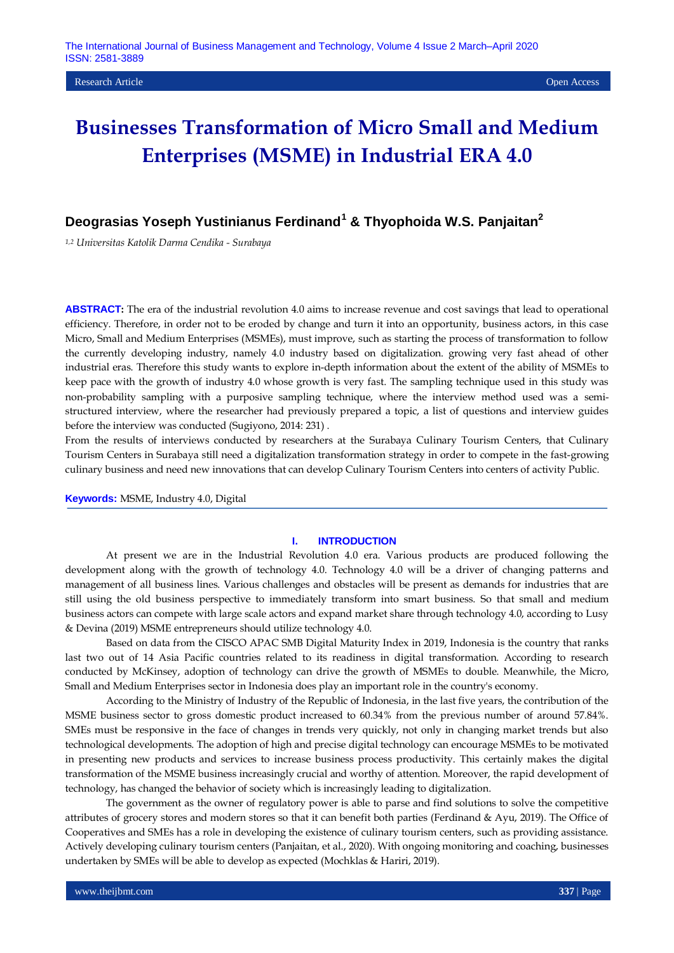# **Deograsias Yoseph Yustinianus Ferdinand<sup>1</sup> & Thyophoida W.S. Panjaitan<sup>2</sup>**

*1,2 Universitas Katolik Darma Cendika - Surabaya*

**ABSTRACT:** The era of the industrial revolution 4.0 aims to increase revenue and cost savings that lead to operational efficiency. Therefore, in order not to be eroded by change and turn it into an opportunity, business actors, in this case Micro, Small and Medium Enterprises (MSMEs), must improve, such as starting the process of transformation to follow the currently developing industry, namely 4.0 industry based on digitalization. growing very fast ahead of other industrial eras. Therefore this study wants to explore in-depth information about the extent of the ability of MSMEs to keep pace with the growth of industry 4.0 whose growth is very fast. The sampling technique used in this study was non-probability sampling with a purposive sampling technique, where the interview method used was a semistructured interview, where the researcher had previously prepared a topic, a list of questions and interview guides before the interview was conducted (Sugiyono, 2014: 231) .

From the results of interviews conducted by researchers at the Surabaya Culinary Tourism Centers, that Culinary Tourism Centers in Surabaya still need a digitalization transformation strategy in order to compete in the fast-growing culinary business and need new innovations that can develop Culinary Tourism Centers into centers of activity Public.

**Keywords:** MSME, Industry 4.0, Digital

### **I. INTRODUCTION**

At present we are in the Industrial Revolution 4.0 era. Various products are produced following the development along with the growth of technology 4.0. Technology 4.0 will be a driver of changing patterns and management of all business lines. Various challenges and obstacles will be present as demands for industries that are still using the old business perspective to immediately transform into smart business. So that small and medium business actors can compete with large scale actors and expand market share through technology 4.0, according to Lusy & Devina (2019) MSME entrepreneurs should utilize technology 4.0.

Based on data from the CISCO APAC SMB Digital Maturity Index in 2019, Indonesia is the country that ranks last two out of 14 Asia Pacific countries related to its readiness in digital transformation. According to research conducted by McKinsey, adoption of technology can drive the growth of MSMEs to double. Meanwhile, the Micro, Small and Medium Enterprises sector in Indonesia does play an important role in the country's economy.

According to the Ministry of Industry of the Republic of Indonesia, in the last five years, the contribution of the MSME business sector to gross domestic product increased to 60.34% from the previous number of around 57.84%. SMEs must be responsive in the face of changes in trends very quickly, not only in changing market trends but also technological developments. The adoption of high and precise digital technology can encourage MSMEs to be motivated in presenting new products and services to increase business process productivity. This certainly makes the digital transformation of the MSME business increasingly crucial and worthy of attention. Moreover, the rapid development of technology, has changed the behavior of society which is increasingly leading to digitalization.

The government as the owner of regulatory power is able to parse and find solutions to solve the competitive attributes of grocery stores and modern stores so that it can benefit both parties (Ferdinand & Ayu, 2019). The Office of Cooperatives and SMEs has a role in developing the existence of culinary tourism centers, such as providing assistance. Actively developing culinary tourism centers (Panjaitan, et al., 2020). With ongoing monitoring and coaching, businesses undertaken by SMEs will be able to develop as expected (Mochklas & Hariri, 2019).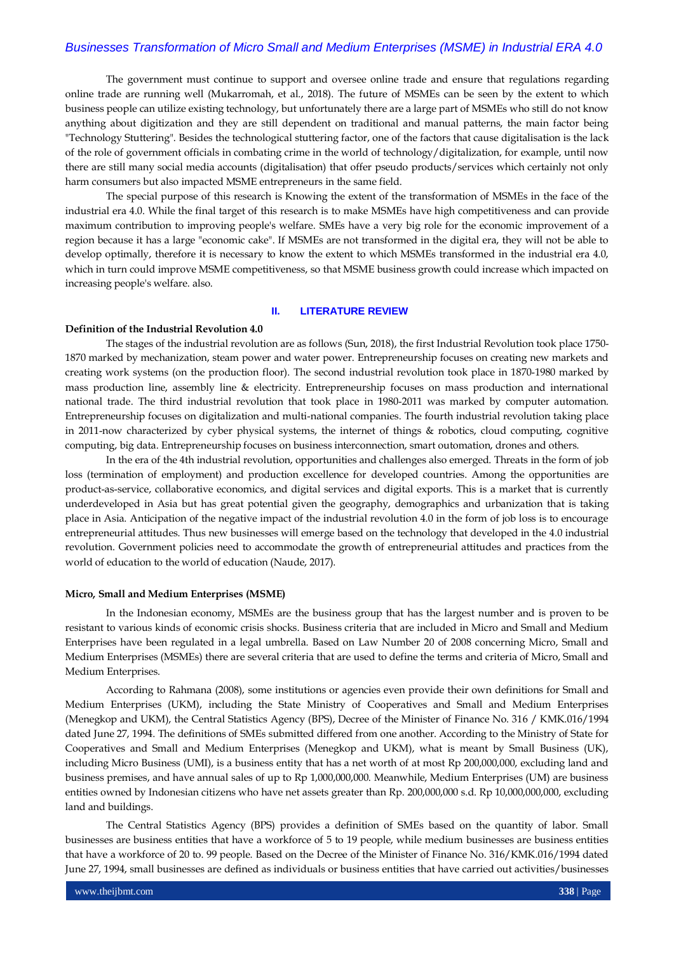The government must continue to support and oversee online trade and ensure that regulations regarding online trade are running well (Mukarromah, et al., 2018). The future of MSMEs can be seen by the extent to which business people can utilize existing technology, but unfortunately there are a large part of MSMEs who still do not know anything about digitization and they are still dependent on traditional and manual patterns, the main factor being "Technology Stuttering". Besides the technological stuttering factor, one of the factors that cause digitalisation is the lack of the role of government officials in combating crime in the world of technology/digitalization, for example, until now there are still many social media accounts (digitalisation) that offer pseudo products/services which certainly not only harm consumers but also impacted MSME entrepreneurs in the same field.

The special purpose of this research is Knowing the extent of the transformation of MSMEs in the face of the industrial era 4.0. While the final target of this research is to make MSMEs have high competitiveness and can provide maximum contribution to improving people's welfare. SMEs have a very big role for the economic improvement of a region because it has a large "economic cake". If MSMEs are not transformed in the digital era, they will not be able to develop optimally, therefore it is necessary to know the extent to which MSMEs transformed in the industrial era 4.0, which in turn could improve MSME competitiveness, so that MSME business growth could increase which impacted on increasing people's welfare. also.

### **II. LITERATURE REVIEW**

#### **Definition of the Industrial Revolution 4.0**

The stages of the industrial revolution are as follows (Sun, 2018), the first Industrial Revolution took place 1750- 1870 marked by mechanization, steam power and water power. Entrepreneurship focuses on creating new markets and creating work systems (on the production floor). The second industrial revolution took place in 1870-1980 marked by mass production line, assembly line & electricity. Entrepreneurship focuses on mass production and international national trade. The third industrial revolution that took place in 1980-2011 was marked by computer automation. Entrepreneurship focuses on digitalization and multi-national companies. The fourth industrial revolution taking place in 2011-now characterized by cyber physical systems, the internet of things & robotics, cloud computing, cognitive computing, big data. Entrepreneurship focuses on business interconnection, smart outomation, drones and others.

In the era of the 4th industrial revolution, opportunities and challenges also emerged. Threats in the form of job loss (termination of employment) and production excellence for developed countries. Among the opportunities are product-as-service, collaborative economics, and digital services and digital exports. This is a market that is currently underdeveloped in Asia but has great potential given the geography, demographics and urbanization that is taking place in Asia. Anticipation of the negative impact of the industrial revolution 4.0 in the form of job loss is to encourage entrepreneurial attitudes. Thus new businesses will emerge based on the technology that developed in the 4.0 industrial revolution. Government policies need to accommodate the growth of entrepreneurial attitudes and practices from the world of education to the world of education (Naude, 2017).

#### **Micro, Small and Medium Enterprises (MSME)**

In the Indonesian economy, MSMEs are the business group that has the largest number and is proven to be resistant to various kinds of economic crisis shocks. Business criteria that are included in Micro and Small and Medium Enterprises have been regulated in a legal umbrella. Based on Law Number 20 of 2008 concerning Micro, Small and Medium Enterprises (MSMEs) there are several criteria that are used to define the terms and criteria of Micro, Small and Medium Enterprises.

According to Rahmana (2008), some institutions or agencies even provide their own definitions for Small and Medium Enterprises (UKM), including the State Ministry of Cooperatives and Small and Medium Enterprises (Menegkop and UKM), the Central Statistics Agency (BPS), Decree of the Minister of Finance No. 316 / KMK.016/1994 dated June 27, 1994. The definitions of SMEs submitted differed from one another. According to the Ministry of State for Cooperatives and Small and Medium Enterprises (Menegkop and UKM), what is meant by Small Business (UK), including Micro Business (UMI), is a business entity that has a net worth of at most Rp 200,000,000, excluding land and business premises, and have annual sales of up to Rp 1,000,000,000. Meanwhile, Medium Enterprises (UM) are business entities owned by Indonesian citizens who have net assets greater than Rp. 200,000,000 s.d. Rp 10,000,000,000, excluding land and buildings.

The Central Statistics Agency (BPS) provides a definition of SMEs based on the quantity of labor. Small businesses are business entities that have a workforce of 5 to 19 people, while medium businesses are business entities that have a workforce of 20 to. 99 people. Based on the Decree of the Minister of Finance No. 316/KMK.016/1994 dated June 27, 1994, small businesses are defined as individuals or business entities that have carried out activities/businesses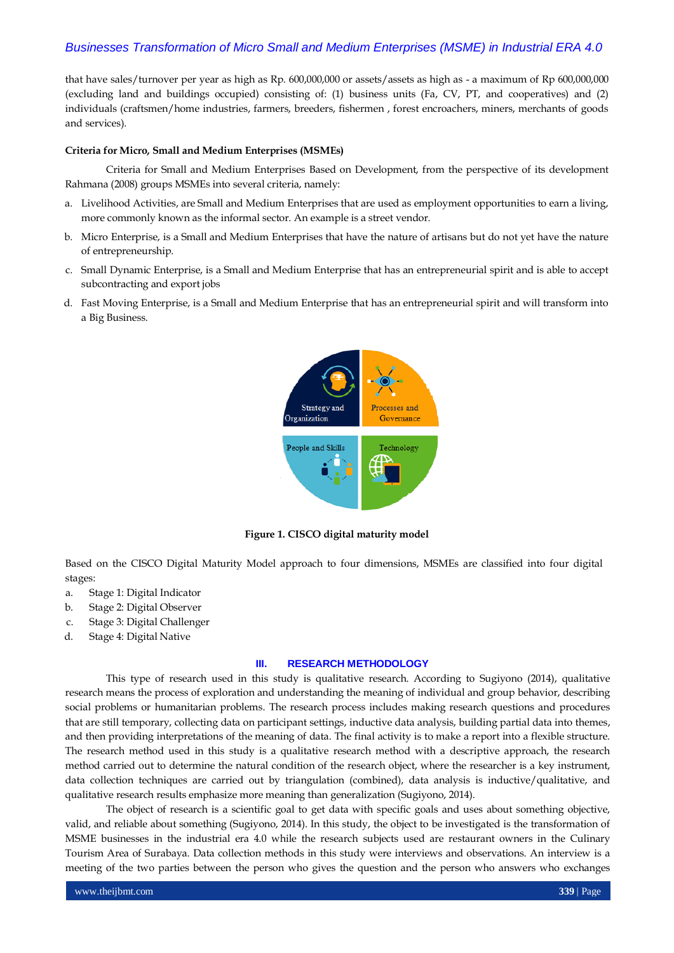that have sales/turnover per year as high as Rp. 600,000,000 or assets/assets as high as - a maximum of Rp 600,000,000 (excluding land and buildings occupied) consisting of: (1) business units (Fa, CV, PT, and cooperatives) and (2) individuals (craftsmen/home industries, farmers, breeders, fishermen , forest encroachers, miners, merchants of goods and services).

### **Criteria for Micro, Small and Medium Enterprises (MSMEs)**

Criteria for Small and Medium Enterprises Based on Development, from the perspective of its development Rahmana (2008) groups MSMEs into several criteria, namely:

- a. Livelihood Activities, are Small and Medium Enterprises that are used as employment opportunities to earn a living, more commonly known as the informal sector. An example is a street vendor.
- b. Micro Enterprise, is a Small and Medium Enterprises that have the nature of artisans but do not yet have the nature of entrepreneurship.
- c. Small Dynamic Enterprise, is a Small and Medium Enterprise that has an entrepreneurial spirit and is able to accept subcontracting and export jobs
- d. Fast Moving Enterprise, is a Small and Medium Enterprise that has an entrepreneurial spirit and will transform into a Big Business.



**Figure 1. CISCO digital maturity model**

Based on the CISCO Digital Maturity Model approach to four dimensions, MSMEs are classified into four digital stages:

- a. Stage 1: Digital Indicator
- b. Stage 2: Digital Observer
- c. Stage 3: Digital Challenger
- d. Stage 4: Digital Native

### **III. RESEARCH METHODOLOGY**

This type of research used in this study is qualitative research. According to Sugiyono (2014), qualitative research means the process of exploration and understanding the meaning of individual and group behavior, describing social problems or humanitarian problems. The research process includes making research questions and procedures that are still temporary, collecting data on participant settings, inductive data analysis, building partial data into themes, and then providing interpretations of the meaning of data. The final activity is to make a report into a flexible structure. The research method used in this study is a qualitative research method with a descriptive approach, the research method carried out to determine the natural condition of the research object, where the researcher is a key instrument, data collection techniques are carried out by triangulation (combined), data analysis is inductive/qualitative, and qualitative research results emphasize more meaning than generalization (Sugiyono, 2014).

The object of research is a scientific goal to get data with specific goals and uses about something objective, valid, and reliable about something (Sugiyono, 2014). In this study, the object to be investigated is the transformation of MSME businesses in the industrial era 4.0 while the research subjects used are restaurant owners in the Culinary Tourism Area of Surabaya. Data collection methods in this study were interviews and observations. An interview is a meeting of the two parties between the person who gives the question and the person who answers who exchanges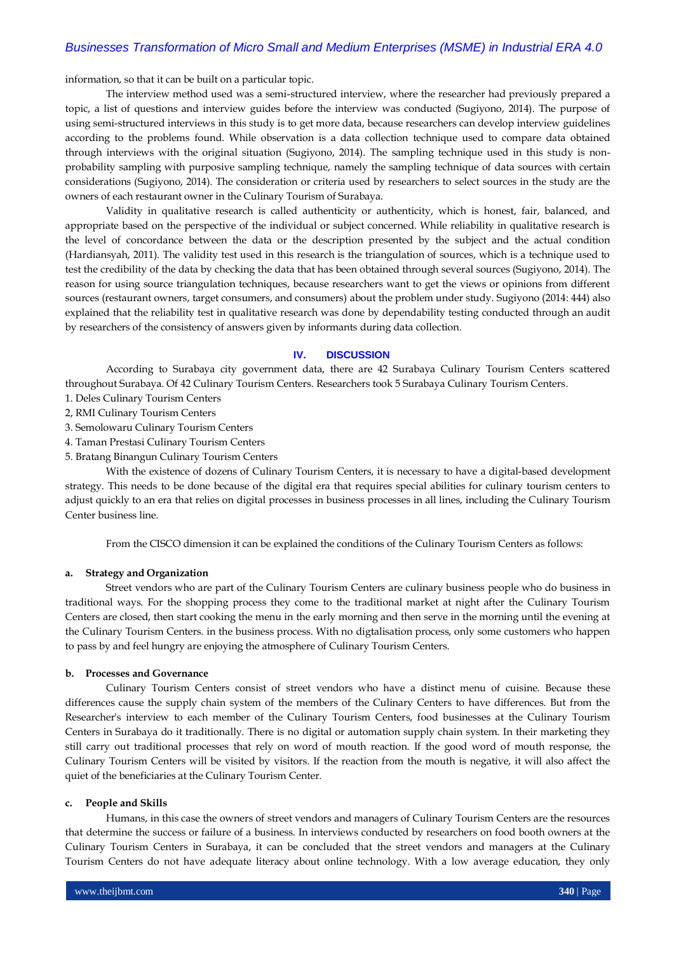information, so that it can be built on a particular topic.

The interview method used was a semi-structured interview, where the researcher had previously prepared a topic, a list of questions and interview guides before the interview was conducted (Sugiyono, 2014). The purpose of using semi-structured interviews in this study is to get more data, because researchers can develop interview guidelines according to the problems found. While observation is a data collection technique used to compare data obtained through interviews with the original situation (Sugiyono, 2014). The sampling technique used in this study is nonprobability sampling with purposive sampling technique, namely the sampling technique of data sources with certain considerations (Sugiyono, 2014). The consideration or criteria used by researchers to select sources in the study are the owners of each restaurant owner in the Culinary Tourism of Surabaya.

Validity in qualitative research is called authenticity or authenticity, which is honest, fair, balanced, and appropriate based on the perspective of the individual or subject concerned. While reliability in qualitative research is the level of concordance between the data or the description presented by the subject and the actual condition (Hardiansyah, 2011). The validity test used in this research is the triangulation of sources, which is a technique used to test the credibility of the data by checking the data that has been obtained through several sources (Sugiyono, 2014). The reason for using source triangulation techniques, because researchers want to get the views or opinions from different sources (restaurant owners, target consumers, and consumers) about the problem under study. Sugiyono (2014: 444) also explained that the reliability test in qualitative research was done by dependability testing conducted through an audit by researchers of the consistency of answers given by informants during data collection.

#### **IV. DISCUSSION**

According to Surabaya city government data, there are 42 Surabaya Culinary Tourism Centers scattered throughout Surabaya. Of 42 Culinary Tourism Centers. Researchers took 5 Surabaya Culinary Tourism Centers.

- 1. Deles Culinary Tourism Centers
- 2, RMI Culinary Tourism Centers
- 3. Semolowaru Culinary Tourism Centers
- 4. Taman Prestasi Culinary Tourism Centers
- 5. Bratang Binangun Culinary Tourism Centers

With the existence of dozens of Culinary Tourism Centers, it is necessary to have a digital-based development strategy. This needs to be done because of the digital era that requires special abilities for culinary tourism centers to adjust quickly to an era that relies on digital processes in business processes in all lines, including the Culinary Tourism Center business line.

From the CISCO dimension it can be explained the conditions of the Culinary Tourism Centers as follows:

### **a. Strategy and Organization**

Street vendors who are part of the Culinary Tourism Centers are culinary business people who do business in traditional ways. For the shopping process they come to the traditional market at night after the Culinary Tourism Centers are closed, then start cooking the menu in the early morning and then serve in the morning until the evening at the Culinary Tourism Centers. in the business process. With no digtalisation process, only some customers who happen to pass by and feel hungry are enjoying the atmosphere of Culinary Tourism Centers.

### **b. Processes and Governance**

Culinary Tourism Centers consist of street vendors who have a distinct menu of cuisine. Because these differences cause the supply chain system of the members of the Culinary Centers to have differences. But from the Researcher's interview to each member of the Culinary Tourism Centers, food businesses at the Culinary Tourism Centers in Surabaya do it traditionally. There is no digital or automation supply chain system. In their marketing they still carry out traditional processes that rely on word of mouth reaction. If the good word of mouth response, the Culinary Tourism Centers will be visited by visitors. If the reaction from the mouth is negative, it will also affect the quiet of the beneficiaries at the Culinary Tourism Center.

#### **c. People and Skills**

Humans, in this case the owners of street vendors and managers of Culinary Tourism Centers are the resources that determine the success or failure of a business. In interviews conducted by researchers on food booth owners at the Culinary Tourism Centers in Surabaya, it can be concluded that the street vendors and managers at the Culinary Tourism Centers do not have adequate literacy about online technology. With a low average education, they only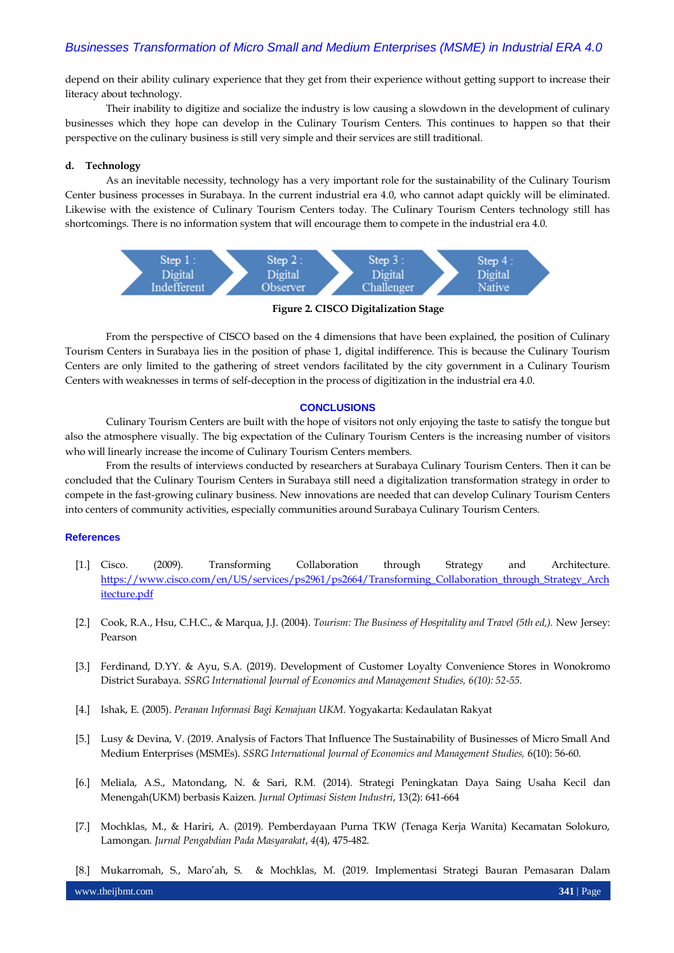depend on their ability culinary experience that they get from their experience without getting support to increase their literacy about technology.

Their inability to digitize and socialize the industry is low causing a slowdown in the development of culinary businesses which they hope can develop in the Culinary Tourism Centers. This continues to happen so that their perspective on the culinary business is still very simple and their services are still traditional.

### **d. Technology**

As an inevitable necessity, technology has a very important role for the sustainability of the Culinary Tourism Center business processes in Surabaya. In the current industrial era 4.0, who cannot adapt quickly will be eliminated. Likewise with the existence of Culinary Tourism Centers today. The Culinary Tourism Centers technology still has shortcomings. There is no information system that will encourage them to compete in the industrial era 4.0.



**Figure 2. CISCO Digitalization Stage**

From the perspective of CISCO based on the 4 dimensions that have been explained, the position of Culinary Tourism Centers in Surabaya lies in the position of phase 1, digital indifference. This is because the Culinary Tourism Centers are only limited to the gathering of street vendors facilitated by the city government in a Culinary Tourism Centers with weaknesses in terms of self-deception in the process of digitization in the industrial era 4.0.

### **CONCLUSIONS**

Culinary Tourism Centers are built with the hope of visitors not only enjoying the taste to satisfy the tongue but also the atmosphere visually. The big expectation of the Culinary Tourism Centers is the increasing number of visitors who will linearly increase the income of Culinary Tourism Centers members.

From the results of interviews conducted by researchers at Surabaya Culinary Tourism Centers. Then it can be concluded that the Culinary Tourism Centers in Surabaya still need a digitalization transformation strategy in order to compete in the fast-growing culinary business. New innovations are needed that can develop Culinary Tourism Centers into centers of community activities, especially communities around Surabaya Culinary Tourism Centers.

### **References**

- [1.] Cisco. (2009). Transforming Collaboration through Strategy and Architecture. [https://www.cisco.com/en/US/services/ps2961/ps2664/Transforming\\_Collaboration\\_through\\_Strategy\\_Arch](https://www.cisco.com/en/US/services/ps2961/ps2664/Transforming_Collaboration_through_Strategy_Architecture.pdf) [itecture.pdf](https://www.cisco.com/en/US/services/ps2961/ps2664/Transforming_Collaboration_through_Strategy_Architecture.pdf)
- [2.] Cook, R.A., Hsu, C.H.C., & Marqua, J.J. (2004). *Tourism: The Business of Hospitality and Travel (5th ed,).* New Jersey: Pearson
- [3.] Ferdinand, D.YY. & Ayu, S.A. (2019). Development of Customer Loyalty Convenience Stores in Wonokromo District Surabaya. *SSRG International Journal of Economics and Management Studies, 6(10): 52-55.*
- [4.] Ishak, E. (2005). *Peranan Informasi Bagi Kemajuan UKM*. Yogyakarta: Kedaulatan Rakyat
- [5.] Lusy & Devina, V. (2019. Analysis of Factors That Influence The Sustainability of Businesses of Micro Small And Medium Enterprises (MSMEs). *SSRG International Journal of Economics and Management Studies,* 6(10): 56-60.
- [6.] Meliala, A.S., Matondang, N. & Sari, R.M. (2014). Strategi Peningkatan Daya Saing Usaha Kecil dan Menengah(UKM) berbasis Kaizen. *Jurnal Optimasi Sistem Industri*, 13(2): 641-664
- [7.] Mochklas, M., & Hariri, A. (2019). Pemberdayaan Purna TKW (Tenaga Kerja Wanita) Kecamatan Solokuro, Lamongan. *Jurnal Pengabdian Pada Masyarakat*, *4*(4), 475-482.
- [8.] Mukarromah, S., Maro'ah, S. & Mochklas, M. (2019. Implementasi Strategi Bauran Pemasaran Dalam